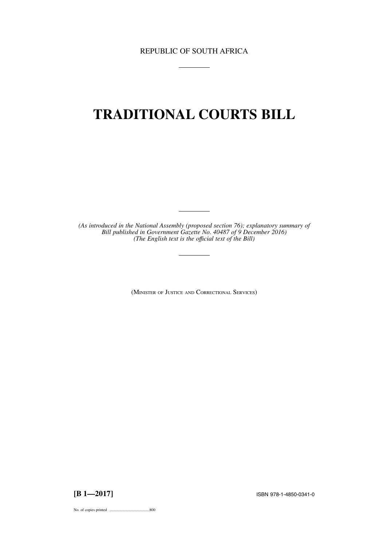REPUBLIC OF SOUTH AFRICA

# **TRADITIONAL COURTS BILL**

*(As introduced in the National Assembly (proposed section 76); explanatory summary of Bill published in Government Gazette No. 40487 of 9 December 2016) (The English text is the offıcial text of the Bill)*

(MINISTER OF JUSTICE AND CORRECTIONAL SERVICES)

**[B 1—2017]** ISBN 978-1-4850-0341-0

No. of copies printed .........................................800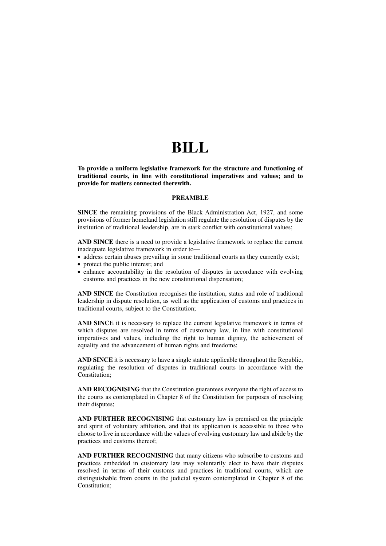# **BILL**

**To provide a uniform legislative framework for the structure and functioning of traditional courts, in line with constitutional imperatives and values; and to provide for matters connected therewith.**

### **PREAMBLE**

**SINCE** the remaining provisions of the Black Administration Act, 1927, and some provisions of former homeland legislation still regulate the resolution of disputes by the institution of traditional leadership, are in stark conflict with constitutional values;

**AND SINCE** there is a need to provide a legislative framework to replace the current inadequate legislative framework in order to—

• address certain abuses prevailing in some traditional courts as they currently exist;

- protect the public interest; and
- enhance accountability in the resolution of disputes in accordance with evolving customs and practices in the new constitutional dispensation;

**AND SINCE** the Constitution recognises the institution, status and role of traditional leadership in dispute resolution, as well as the application of customs and practices in traditional courts, subject to the Constitution;

**AND SINCE** it is necessary to replace the current legislative framework in terms of which disputes are resolved in terms of customary law, in line with constitutional imperatives and values, including the right to human dignity, the achievement of equality and the advancement of human rights and freedoms;

**AND SINCE** it is necessary to have a single statute applicable throughout the Republic, regulating the resolution of disputes in traditional courts in accordance with the Constitution;

**AND RECOGNISING** that the Constitution guarantees everyone the right of access to the courts as contemplated in Chapter 8 of the Constitution for purposes of resolving their disputes;

**AND FURTHER RECOGNISING** that customary law is premised on the principle and spirit of voluntary affiliation, and that its application is accessible to those who choose to live in accordance with the values of evolving customary law and abide by the practices and customs thereof;

**AND FURTHER RECOGNISING** that many citizens who subscribe to customs and practices embedded in customary law may voluntarily elect to have their disputes resolved in terms of their customs and practices in traditional courts, which are distinguishable from courts in the judicial system contemplated in Chapter 8 of the Constitution;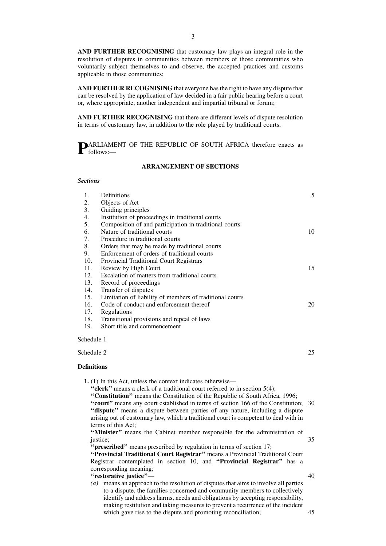**AND FURTHER RECOGNISING** that customary law plays an integral role in the resolution of disputes in communities between members of those communities who voluntarily subject themselves to and observe, the accepted practices and customs applicable in those communities;

**AND FURTHER RECOGNISING** that everyone has the right to have any dispute that can be resolved by the application of law decided in a fair public hearing before a court or, where appropriate, another independent and impartial tribunal or forum;

**AND FURTHER RECOGNISING** that there are different levels of dispute resolution in terms of customary law, in addition to the role played by traditional courts,

**PARLIAMENT OF THE REPUBLIC OF SOUTH AFRICA therefore enacts as** follows:—

# **ARRANGEMENT OF SECTIONS**

#### *Sections*

| 1.                 | Definitions                                                 | 5  |
|--------------------|-------------------------------------------------------------|----|
| 2.                 | Objects of Act                                              |    |
| 3.                 | Guiding principles                                          |    |
| 4.                 | Institution of proceedings in traditional courts            |    |
| 5.                 | Composition of and participation in traditional courts      |    |
| 6.                 | Nature of traditional courts                                | 10 |
| 7.                 | Procedure in traditional courts                             |    |
| 8.                 | Orders that may be made by traditional courts               |    |
| 9.                 | Enforcement of orders of traditional courts                 |    |
| 10.                | Provincial Traditional Court Registrars                     |    |
| 11.                | Review by High Court                                        | 15 |
| 12.                | Escalation of matters from traditional courts               |    |
| 13.                | Record of proceedings                                       |    |
| 14.                | Transfer of disputes                                        |    |
| 15.                | Limitation of liability of members of traditional courts    |    |
| 16.                | Code of conduct and enforcement thereof                     | 20 |
| 17.                | Regulations                                                 |    |
| 18.                | Transitional provisions and repeal of laws                  |    |
| 19.                | Short title and commencement                                |    |
| Schedule 1         |                                                             |    |
| Schedule 2         |                                                             | 25 |
| <b>Definitions</b> |                                                             |    |
|                    | 1. (1) In this Act, unless the context indicates otherwise— |    |

"clerk" means a clerk of a traditional court referred to in section 5(4);

**''Constitution''** means the Constitution of the Republic of South Africa, 1996; "court" means any court established in terms of section 166 of the Constitution; 30 **''dispute''** means a dispute between parties of any nature, including a dispute arising out of customary law, which a traditional court is competent to deal with in terms of this Act;

**''Minister''** means the Cabinet member responsible for the administration of justice: 35

**''prescribed''** means prescribed by regulation in terms of section 17;

**''Provincial Traditional Court Registrar''** means a Provincial Traditional Court Registrar contemplated in section 10, and **''Provincial Registrar''** has a corresponding meaning;

- **''restorative justice''**—
- *(a)* means an approach to the resolution of disputes that aims to involve all parties to a dispute, the families concerned and community members to collectively identify and address harms, needs and obligations by accepting responsibility, making restitution and taking measures to prevent a recurrence of the incident which gave rise to the dispute and promoting reconciliation;

40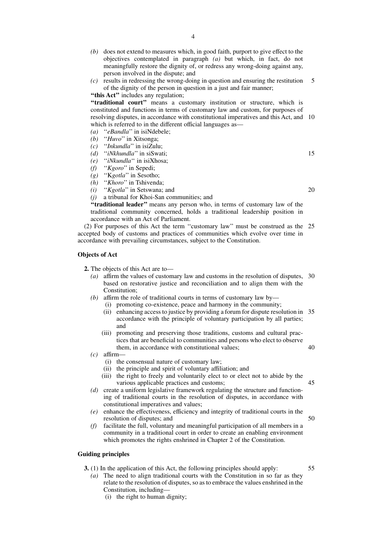- *(b)* does not extend to measures which, in good faith, purport to give effect to the objectives contemplated in paragraph *(a)* but which, in fact, do not meaningfully restore the dignity of, or redress any wrong-doing against any, person involved in the dispute; and
- *(c)* results in redressing the wrong-doing in question and ensuring the restitution of the dignity of the person in question in a just and fair manner; 5

**''this Act''** includes any regulation;

"traditional court" means a customary institution or structure, which is constituted and functions in terms of customary law and custom, for purposes of resolving disputes, in accordance with constitutional imperatives and this Act, and 10 which is referred to in the different official languages as—

- *(a)* "*eBandla*" in isiNdebele;<br>*(b)* "*Huvo*" in Xitsonga:
- *(b)* ''*Huvo*'' in Xitsonga;
- *(c)* ''*Inkundla*'' in isiZulu;
- "*iNkhundla*" in siSwati;
- *(e)* ''*iNkundla*'' in isiXhosa;
- *(f)* ''*Kgoro*'' in Sepedi;
- *(g)* ''K*gotla*'' in Sesotho;
- *(h)* "*Khoro*" in Tshivenda;<br>*(i)* "*Kgotla*" in Setswana:
- "*Kgotla*" in Setswana; and
- *(j)* a tribunal for Khoi-San communities; and

**''traditional leader''** means any person who, in terms of customary law of the traditional community concerned, holds a traditional leadership position in accordance with an Act of Parliament.

(2) For purposes of this Act the term ''customary law'' must be construed as the 25 accepted body of customs and practices of communities which evolve over time in accordance with prevailing circumstances, subject to the Constitution.

#### **Objects of Act**

**2.** The objects of this Act are to—

- *(a)* affirm the values of customary law and customs in the resolution of disputes, 30 based on restorative justice and reconciliation and to align them with the Constitution;
- *(b)* affirm the role of traditional courts in terms of customary law by—
	- (i) promoting co-existence, peace and harmony in the community;
	- (ii) enhancing access to justice by providing a forum for dispute resolution in 35 accordance with the principle of voluntary participation by all parties; and
	- (iii) promoting and preserving those traditions, customs and cultural practices that are beneficial to communities and persons who elect to observe them, in accordance with constitutional values;
- *(c)* affirm—
	- (i) the consensual nature of customary law;
	- (ii) the principle and spirit of voluntary affiliation; and
	- (iii) the right to freely and voluntarily elect to or elect not to abide by the various applicable practices and customs; 45
- *(d)* create a uniform legislative framework regulating the structure and functioning of traditional courts in the resolution of disputes, in accordance with constitutional imperatives and values;
- *(e)* enhance the effectiveness, efficiency and integrity of traditional courts in the resolution of disputes; and 50
- *(f)* facilitate the full, voluntary and meaningful participation of all members in a community in a traditional court in order to create an enabling environment which promotes the rights enshrined in Chapter 2 of the Constitution.

# **Guiding principles**

- **3.** (1) In the application of this Act, the following principles should apply:
	- *(a)* The need to align traditional courts with the Constitution in so far as they relate to the resolution of disputes, so as to embrace the values enshrined in the Constitution, including—
		- (i) the right to human dignity;

20

15

40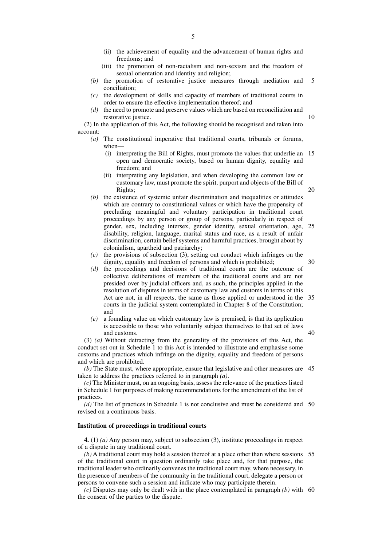- (iii) the promotion of non-racialism and non-sexism and the freedom of sexual orientation and identity and religion;
- *(b)* the promotion of restorative justice measures through mediation and conciliation; 5
- *(c)* the development of skills and capacity of members of traditional courts in order to ensure the effective implementation thereof; and
- *(d)* the need to promote and preserve values which are based on reconciliation and restorative justice.

(2) In the application of this Act, the following should be recognised and taken into account:

- *(a)* The constitutional imperative that traditional courts, tribunals or forums, when—
	- (i) interpreting the Bill of Rights, must promote the values that underlie an open and democratic society, based on human dignity, equality and freedom; and 15

10

20

40

- (ii) interpreting any legislation, and when developing the common law or customary law, must promote the spirit, purport and objects of the Bill of Rights;
- *(b)* the existence of systemic unfair discrimination and inequalities or attitudes which are contrary to constitutional values or which have the propensity of precluding meaningful and voluntary participation in traditional court proceedings by any person or group of persons, particularly in respect of gender, sex, including intersex, gender identity, sexual orientation, age, 25 disability, religion, language, marital status and race, as a result of unfair discrimination, certain belief systems and harmful practices, brought about by colonialism, apartheid and patriarchy;
- *(c)* the provisions of subsection (3), setting out conduct which infringes on the dignity, equality and freedom of persons and which is prohibited; 30
- *(d)* the proceedings and decisions of traditional courts are the outcome of collective deliberations of members of the traditional courts and are not presided over by judicial officers and, as such, the principles applied in the resolution of disputes in terms of customary law and customs in terms of this Act are not, in all respects, the same as those applied or understood in the courts in the judicial system contemplated in Chapter 8 of the Constitution; and 35
- *(e)* a founding value on which customary law is premised, is that its application is accessible to those who voluntarily subject themselves to that set of laws and customs.

(3) *(a)* Without detracting from the generality of the provisions of this Act, the conduct set out in Schedule 1 to this Act is intended to illustrate and emphasise some customs and practices which infringe on the dignity, equality and freedom of persons and which are prohibited.

*(b)* The State must, where appropriate, ensure that legislative and other measures are 45 taken to address the practices referred to in paragraph *(a)*.

*(c)* The Minister must, on an ongoing basis, assess the relevance of the practices listed in Schedule 1 for purposes of making recommendations for the amendment of the list of practices.

(d) The list of practices in Schedule 1 is not conclusive and must be considered and 50 revised on a continuous basis.

## **Institution of proceedings in traditional courts**

**4.** (1) *(a)* Any person may, subject to subsection (3), institute proceedings in respect of a dispute in any traditional court.

*(b)* A traditional court may hold a session thereof at a place other than where sessions 55 of the traditional court in question ordinarily take place and, for that purpose, the traditional leader who ordinarily convenes the traditional court may, where necessary, in the presence of members of the community in the traditional court, delegate a person or persons to convene such a session and indicate who may participate therein.

*(c)* Disputes may only be dealt with in the place contemplated in paragraph *(b)* with 60the consent of the parties to the dispute.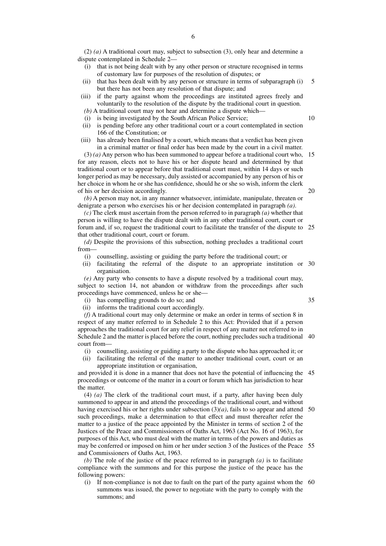(2) *(a)* A traditional court may, subject to subsection (3), only hear and determine a dispute contemplated in Schedule 2—

- (i) that is not being dealt with by any other person or structure recognised in terms of customary law for purposes of the resolution of disputes; or
- (ii) that has been dealt with by any person or structure in terms of subparagraph (i) but there has not been any resolution of that dispute; and 5
- (iii) if the party against whom the proceedings are instituted agrees freely and voluntarily to the resolution of the dispute by the traditional court in question.
- $(b)$  A traditional court may not hear and determine a dispute which-
- (i) is being investigated by the South African Police Service;
- (ii) is pending before any other traditional court or a court contemplated in section 166 of the Constitution; or
- (iii) has already been finalised by a court, which means that a verdict has been given in a criminal matter or final order has been made by the court in a civil matter.

(3) *(a)* Any person who has been summoned to appear before a traditional court who, 15 for any reason, elects not to have his or her dispute heard and determined by that traditional court or to appear before that traditional court must, within 14 days or such longer period as may be necessary, duly assisted or accompanied by any person of his or her choice in whom he or she has confidence, should he or she so wish, inform the clerk of his or her decision accordingly. 20

*(b)* A person may not, in any manner whatsoever, intimidate, manipulate, threaten or denigrate a person who exercises his or her decision contemplated in paragraph *(a)*.

*(c)* The clerk must ascertain from the person referred to in paragraph *(a)* whether that person is willing to have the dispute dealt with in any other traditional court, court or forum and, if so, request the traditional court to facilitate the transfer of the dispute to 25 that other traditional court, court or forum.

*(d)* Despite the provisions of this subsection, nothing precludes a traditional court from—

- (i) counselling, assisting or guiding the party before the traditional court; or
- (ii) facilitating the referral of the dispute to an appropriate institution or 30 organisation.

*(e)* Any party who consents to have a dispute resolved by a traditional court may, subject to section 14, not abandon or withdraw from the proceedings after such proceedings have commenced, unless he or she—

- (i) has compelling grounds to do so; and
- (ii) informs the traditional court accordingly.

*(f)* A traditional court may only determine or make an order in terms of section 8 in respect of any matter referred to in Schedule 2 to this Act: Provided that if a person approaches the traditional court for any relief in respect of any matter not referred to in Schedule 2 and the matter is placed before the court, nothing precludes such a traditional 40 court from—

- (i) counselling, assisting or guiding a party to the dispute who has approached it; or
- (ii) facilitating the referral of the matter to another traditional court, court or an appropriate institution or organisation,

and provided it is done in a manner that does not have the potential of influencing the 45 proceedings or outcome of the matter in a court or forum which has jurisdiction to hear the matter.

(4) *(a)* The clerk of the traditional court must, if a party, after having been duly summoned to appear in and attend the proceedings of the traditional court, and without having exercised his or her rights under subsection  $(3)(a)$ , fails to so appear and attend 50 such proceedings, make a determination to that effect and must thereafter refer the matter to a justice of the peace appointed by the Minister in terms of section 2 of the Justices of the Peace and Commissioners of Oaths Act, 1963 (Act No. 16 of 1963), for purposes of this Act, who must deal with the matter in terms of the powers and duties as may be conferred or imposed on him or her under section 3 of the Justices of the Peace 55 and Commissioners of Oaths Act, 1963.

*(b)* The role of the justice of the peace referred to in paragraph *(a)* is to facilitate compliance with the summons and for this purpose the justice of the peace has the following powers:

(i) If non-compliance is not due to fault on the part of the party against whom the 60summons was issued, the power to negotiate with the party to comply with the summons; and

10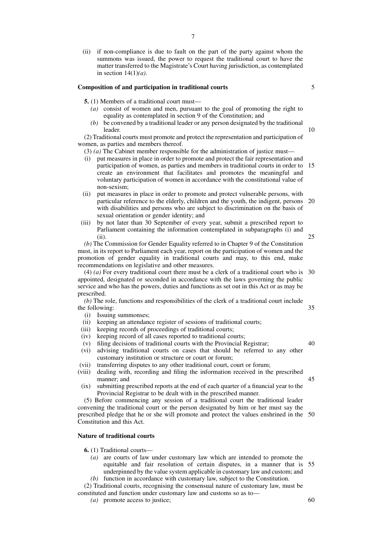(ii) if non-compliance is due to fault on the part of the party against whom the summons was issued, the power to request the traditional court to have the matter transferred to the Magistrate's Court having jurisdiction, as contemplated in section 14(1)*(a)*.

#### **Composition of and participation in traditional courts**

- **5.** (1) Members of a traditional court must—
	- *(a)* consist of women and men, pursuant to the goal of promoting the right to equality as contemplated in section 9 of the Constitution; and
	- *(b)* be convened by a traditional leader or any person designated by the traditional leader.

(2) Traditional courts must promote and protect the representation and participation of women, as parties and members thereof.

(3) *(a)* The Cabinet member responsible for the administration of justice must—

- (i) put measures in place in order to promote and protect the fair representation and participation of women, as parties and members in traditional courts in order to 15 create an environment that facilitates and promotes the meaningful and voluntary participation of women in accordance with the constitutional value of non-sexism;
- (ii) put measures in place in order to promote and protect vulnerable persons, with particular reference to the elderly, children and the youth, the indigent, persons 20 with disabilities and persons who are subject to discrimination on the basis of sexual orientation or gender identity; and
- (iii) by not later than 30 September of every year, submit a prescribed report to Parliament containing the information contemplated in subparagraphs (i) and (ii).

*(b)* The Commission for Gender Equality referred to in Chapter 9 of the Constitution must, in its report to Parliament each year, report on the participation of women and the promotion of gender equality in traditional courts and may, to this end, make recommendations on legislative and other measures.

(4) *(a)* For every traditional court there must be a clerk of a traditional court who is 30 appointed, designated or seconded in accordance with the laws governing the public service and who has the powers, duties and functions as set out in this Act or as may be prescribed.

*(b)* The role, functions and responsibilities of the clerk of a traditional court include the following:

- (i) Issuing summonses;
- (ii) keeping an attendance register of sessions of traditional courts;
- (iii) keeping records of proceedings of traditional courts;
- (iv) keeping record of all cases reported to traditional courts;
- (v) filing decisions of traditional courts with the Provincial Registrar;
- (vi) advising traditional courts on cases that should be referred to any other customary institution or structure or court or forum;
- (vii) transferring disputes to any other traditional court, court or forum;
- (viii) dealing with, recording and filing the information received in the prescribed manner; and
- (ix) submitting prescribed reports at the end of each quarter of a financial year to the Provincial Registrar to be dealt with in the prescribed manner.

(5) Before commencing any session of a traditional court the traditional leader convening the traditional court or the person designated by him or her must say the prescribed pledge that he or she will promote and protect the values enshrined in the 50 Constitution and this Act.

# **Nature of traditional courts**

**6.** (1) Traditional courts—

*(a)* are courts of law under customary law which are intended to promote the equitable and fair resolution of certain disputes, in a manner that is underpinned by the value system applicable in customary law and custom; and *(b)* function in accordance with customary law, subject to the Constitution. 55

(2) Traditional courts, recognising the consensual nature of customary law, must be constituted and function under customary law and customs so as to—

*(a)* promote access to justice;

60

25

5

10

40

45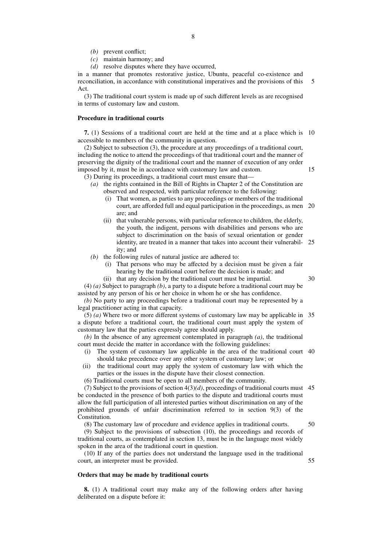- *(b)* prevent conflict;
- *(c)* maintain harmony; and
- *(d)* resolve disputes where they have occurred,

in a manner that promotes restorative justice, Ubuntu, peaceful co-existence and reconciliation, in accordance with constitutional imperatives and the provisions of this Act. 5

(3) The traditional court system is made up of such different levels as are recognised in terms of customary law and custom.

# **Procedure in traditional courts**

**7.** (1) Sessions of a traditional court are held at the time and at a place which is 10 accessible to members of the community in question.

(2) Subject to subsection (3), the procedure at any proceedings of a traditional court, including the notice to attend the proceedings of that traditional court and the manner of preserving the dignity of the traditional court and the manner of execution of any order imposed by it, must be in accordance with customary law and custom.

- (3) During its proceedings, a traditional court must ensure that—
	- *(a)* the rights contained in the Bill of Rights in Chapter 2 of the Constitution are observed and respected, with particular reference to the following:
		- (i) That women, as parties to any proceedings or members of the traditional court, are afforded full and equal participation in the proceedings, as men 20 are; and
		- (ii) that vulnerable persons, with particular reference to children, the elderly, the youth, the indigent, persons with disabilities and persons who are subject to discrimination on the basis of sexual orientation or gender identity, are treated in a manner that takes into account their vulnerabil-25 ity; and
	- *(b)* the following rules of natural justice are adhered to:
		- (i) That persons who may be affected by a decision must be given a fair hearing by the traditional court before the decision is made; and
			- 30

15

(4) *(a)* Subject to paragraph *(b)*, a party to a dispute before a traditional court may be assisted by any person of his or her choice in whom he or she has confidence.

(ii) that any decision by the traditional court must be impartial.

*(b)* No party to any proceedings before a traditional court may be represented by a legal practitioner acting in that capacity.

(5) *(a)* Where two or more different systems of customary law may be applicable in 35 a dispute before a traditional court, the traditional court must apply the system of customary law that the parties expressly agree should apply.

*(b)* In the absence of any agreement contemplated in paragraph *(a)*, the traditional court must decide the matter in accordance with the following guidelines:

- (i) The system of customary law applicable in the area of the traditional court 40 should take precedence over any other system of customary law; or
- (ii) the traditional court may apply the system of customary law with which the parties or the issues in the dispute have their closest connection.

(6) Traditional courts must be open to all members of the community.

(7) Subject to the provisions of section  $4(3)(d)$ , proceedings of traditional courts must 45 be conducted in the presence of both parties to the dispute and traditional courts must allow the full participation of all interested parties without discrimination on any of the prohibited grounds of unfair discrimination referred to in section 9(3) of the Constitution.

(8) The customary law of procedure and evidence applies in traditional courts.

(9) Subject to the provisions of subsection (10), the proceedings and records of traditional courts, as contemplated in section 13, must be in the language most widely spoken in the area of the traditional court in question.

(10) If any of the parties does not understand the language used in the traditional court, an interpreter must be provided.

#### **Orders that may be made by traditional courts**

**8.** (1) A traditional court may make any of the following orders after having deliberated on a dispute before it:

50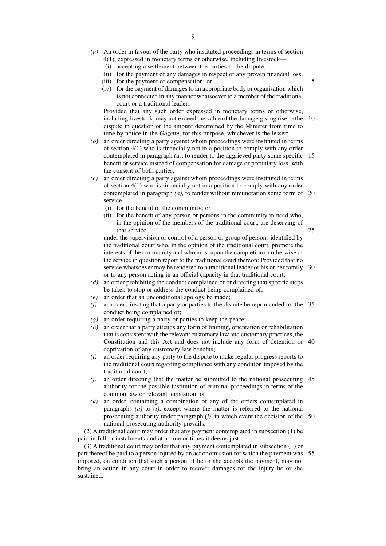- *(a)* An order in favour of the party who instituted proceedings in terms of section 4(1), expressed in monetary terms or otherwise, including livestock—
	- (i) accepting a settlement between the parties to the dispute;
	- (ii) for the payment of any damages in respect of any proven financial loss;
	- (iii) for the payment of compensation; or
	- (iv) for the payment of damages to an appropriate body or organisation which is not connected in any manner whatsoever to a member of the traditional court or a traditional leader:

Provided that any such order expressed in monetary terms or otherwise, including livestock, may not exceed the value of the damage giving rise to the 10 dispute in question or the amount determined by the Minister from time to time by notice in the *Gazette*, for this purpose, whichever is the lesser;

- *(b)* an order directing a party against whom proceedings were instituted in terms of section 4(1) who is financially not in a position to comply with any order contemplated in paragraph *(a)*, to render to the aggrieved party some specific 15 benefit or service instead of compensation for damage or pecuniary loss, with the consent of both parties;
- *(c)* an order directing a party against whom proceedings were instituted in terms of section 4(1) who is financially not in a position to comply with any order contemplated in paragraph *(a)*, to render without remuneration some form of 20 service—
	- (i) for the benefit of the community; or
	- (ii) for the benefit of any person or persons in the community in need who, in the opinion of the members of the traditional court, are deserving of that service,

under the supervision or control of a person or group of persons identified by the traditional court who, in the opinion of the traditional court, promote the interests of the community and who must upon the completion or otherwise of the service in question report to the traditional court thereon: Provided that no service whatsoever may be rendered to a traditional leader or his or her family 30 or to any person acting in an official capacity in that traditional court;

- *(d)* an order prohibiting the conduct complained of or directing that specific steps be taken to stop or address the conduct being complained of;
- *(e)* an order that an unconditional apology be made;
- *(f)* an order directing that a party or parties to the dispute be reprimanded for the 35 conduct being complained of;
- *(g)* an order requiring a party or parties to keep the peace;
- *(h)* an order that a party attends any form of training, orientation or rehabilitation that is consistent with the relevant customary law and customary practices, the Constitution and this Act and does not include any form of detention or 40 deprivation of any customary law benefits;
- *(i)* an order requiring any party to the dispute to make regular progress reports to the traditional court regarding compliance with any condition imposed by the traditional court;
- *(j)* an order directing that the matter be submitted to the national prosecuting 45 authority for the possible institution of criminal proceedings in terms of the common law or relevant legislation; or
- *(k)* an order, containing a combination of any of the orders contemplated in paragraphs *(a)* to *(i)*, except where the matter is referred to the national prosecuting authority under paragraph *(j)*, in which event the decision of the 50 national prosecuting authority prevails.

(2) A traditional court may order that any payment contemplated in subsection (1) be paid in full or instalments and at a time or times it deems just.

(3) A traditional court may order that any payment contemplated in subsection (1) or part thereof be paid to a person injured by an act or omission for which the payment was 55imposed, on condition that such a person, if he or she accepts the payment, may not bring an action in any court in order to recover damages for the injury he or she sustained.

5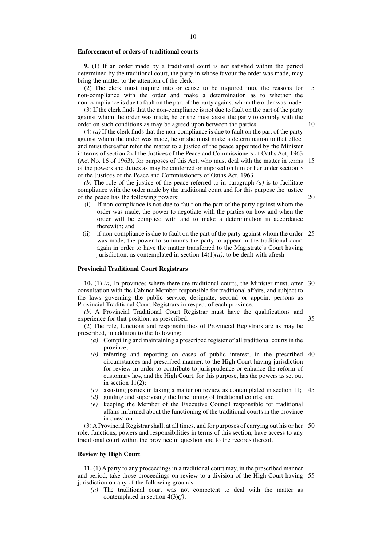#### **Enforcement of orders of traditional courts**

**9.** (1) If an order made by a traditional court is not satisfied within the period determined by the traditional court, the party in whose favour the order was made, may bring the matter to the attention of the clerk.

(2) The clerk must inquire into or cause to be inquired into, the reasons for non-compliance with the order and make a determination as to whether the non-compliance is due to fault on the part of the party against whom the order was made. 5

(3) If the clerk finds that the non-compliance is not due to fault on the part of the party against whom the order was made, he or she must assist the party to comply with the order on such conditions as may be agreed upon between the parties.

(4) *(a)* If the clerk finds that the non-compliance is due to fault on the part of the party against whom the order was made, he or she must make a determination to that effect and must thereafter refer the matter to a justice of the peace appointed by the Minister in terms of section 2 of the Justices of the Peace and Commissioners of Oaths Act, 1963 (Act No. 16 of 1963), for purposes of this Act, who must deal with the matter in terms 15 of the powers and duties as may be conferred or imposed on him or her under section 3 of the Justices of the Peace and Commissioners of Oaths Act, 1963.

*(b)* The role of the justice of the peace referred to in paragraph *(a)* is to facilitate compliance with the order made by the traditional court and for this purpose the justice of the peace has the following powers:

- (i) If non-compliance is not due to fault on the part of the party against whom the order was made, the power to negotiate with the parties on how and when the order will be complied with and to make a determination in accordance therewith; and
- (ii) if non-compliance is due to fault on the part of the party against whom the order 25 was made, the power to summons the party to appear in the traditional court again in order to have the matter transferred to the Magistrate's Court having jurisdiction, as contemplated in section  $14(1)(a)$ , to be dealt with afresh.

#### **Provincial Traditional Court Registrars**

**10.** (1) *(a)* In provinces where there are traditional courts, the Minister must, after 30 consultation with the Cabinet Member responsible for traditional affairs, and subject to the laws governing the public service, designate, second or appoint persons as Provincial Traditional Court Registrars in respect of each province.

*(b)* A Provincial Traditional Court Registrar must have the qualifications and experience for that position, as prescribed.

35

(2) The role, functions and responsibilities of Provincial Registrars are as may be prescribed, in addition to the following:

- *(a)* Compiling and maintaining a prescribed register of all traditional courts in the province;
- *(b)* referring and reporting on cases of public interest, in the prescribed 40 circumstances and prescribed manner, to the High Court having jurisdiction for review in order to contribute to jurisprudence or enhance the reform of customary law, and the High Court, for this purpose, has the powers as set out in section  $11(2)$ ;
- *(c)* assisting parties in taking a matter on review as contemplated in section 11; 45
- *(d)* guiding and supervising the functioning of traditional courts; and
- *(e)* keeping the Member of the Executive Council responsible for traditional affairs informed about the functioning of the traditional courts in the province in question.

(3) A Provincial Registrar shall, at all times, and for purposes of carrying out his or her 50 role, functions, powers and responsibilities in terms of this section, have access to any traditional court within the province in question and to the records thereof.

# **Review by High Court**

**11.** (1) A party to any proceedings in a traditional court may, in the prescribed manner and period, take those proceedings on review to a division of the High Court having 55jurisdiction on any of the following grounds:

*(a)* The traditional court was not competent to deal with the matter as contemplated in section 4(3)*(f)*;

10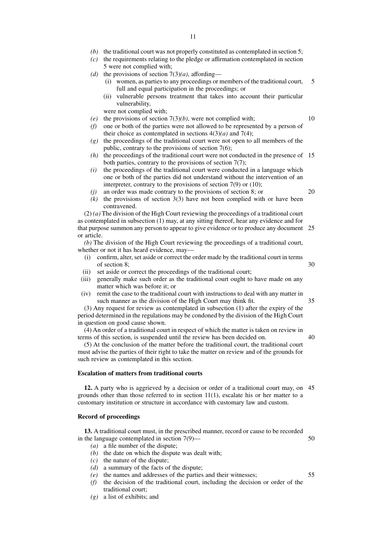- *(b)* the traditional court was not properly constituted as contemplated in section 5;
- *(c)* the requirements relating to the pledge or affirmation contemplated in section 5 were not complied with;
- *(d)* the provisions of section  $7(3)(a)$ , affording—
	- (i) women, as parties to any proceedings or members of the traditional court, full and equal participation in the proceedings; or 5
	- (ii) vulnerable persons treatment that takes into account their particular vulnerability,

were not complied with;

- *(e)* the provisions of section 7(3)*(b)*, were not complied with;
- *(f)* one or both of the parties were not allowed to be represented by a person of their choice as contemplated in sections  $4(3)(a)$  and  $7(4)$ ;
- *(g)* the proceedings of the traditional court were not open to all members of the public, contrary to the provisions of section 7(6);
- *(h)* the proceedings of the traditional court were not conducted in the presence of 15 both parties, contrary to the provisions of section 7(7);
- *(i)* the proceedings of the traditional court were conducted in a language which one or both of the parties did not understand without the intervention of an interpreter, contrary to the provisions of section 7(9) or (10);
- *(j)* an order was made contrary to the provisions of section 8; or
- *(k)* the provisions of section 3(3) have not been complied with or have been contravened.

(2) *(a)* The division of the High Court reviewing the proceedings of a traditional court as contemplated in subsection (1) may, at any sitting thereof, hear any evidence and for that purpose summon any person to appear to give evidence or to produce any document 25 or article.

*(b)* The division of the High Court reviewing the proceedings of a traditional court, whether or not it has heard evidence, may—

- (i) confirm, alter, set aside or correct the order made by the traditional court in terms of section 8;
- (ii) set aside or correct the proceedings of the traditional court;
- (iii) generally make such order as the traditional court ought to have made on any matter which was before it; or
- (iv) remit the case to the traditional court with instructions to deal with any matter in such manner as the division of the High Court may think fit.

(3) Any request for review as contemplated in subsection (1) after the expiry of the period determined in the regulations may be condoned by the division of the High Court in question on good cause shown.

(4) An order of a traditional court in respect of which the matter is taken on review in terms of this section, is suspended until the review has been decided on. 40

(5) At the conclusion of the matter before the traditional court, the traditional court must advise the parties of their right to take the matter on review and of the grounds for such review as contemplated in this section.

#### **Escalation of matters from traditional courts**

**12.** A party who is aggrieved by a decision or order of a traditional court may, on 45 grounds other than those referred to in section  $11(1)$ , escalate his or her matter to a customary institution or structure in accordance with customary law and custom.

#### **Record of proceedings**

**13.** A traditional court must, in the prescribed manner, record or cause to be recorded in the language contemplated in section 7(9)—

- *(a)* a file number of the dispute;
- *(b)* the date on which the dispute was dealt with;
- *(c)* the nature of the dispute;
- *(d)* a summary of the facts of the dispute;
- *(e)* the names and addresses of the parties and their witnesses;
- *(f)* the decision of the traditional court, including the decision or order of the traditional court;
- *(g)* a list of exhibits; and

10

20

30

35

50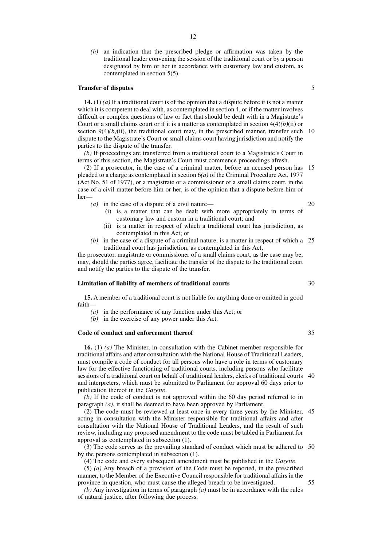*(h)* an indication that the prescribed pledge or affirmation was taken by the traditional leader convening the session of the traditional court or by a person designated by him or her in accordance with customary law and custom, as contemplated in section 5(5).

#### **Transfer of disputes**

**14.** (1) *(a)* If a traditional court is of the opinion that a dispute before it is not a matter which it is competent to deal with, as contemplated in section 4, or if the matter involves difficult or complex questions of law or fact that should be dealt with in a Magistrate's Court or a small claims court or if it is a matter as contemplated in section 4(4)*(b)*(ii) or section  $9(4)(b)(ii)$ , the traditional court may, in the prescribed manner, transfer such 10 dispute to the Magistrate's Court or small claims court having jurisdiction and notify the parties to the dispute of the transfer.

*(b)* If proceedings are transferred from a traditional court to a Magistrate's Court in terms of this section, the Magistrate's Court must commence proceedings afresh.

(2) If a prosecutor, in the case of a criminal matter, before an accused person has pleaded to a charge as contemplated in section 6*(a)* of the Criminal Procedure Act, 1977 (Act No. 51 of 1977), or a magistrate or a commissioner of a small claims court, in the case of a civil matter before him or her, is of the opinion that a dispute before him or her— 15

- *(a)* in the case of a dispute of a civil nature—
	- (i) is a matter that can be dealt with more appropriately in terms of customary law and custom in a traditional court; and
	- (ii) is a matter in respect of which a traditional court has jurisdiction, as contemplated in this Act; or
- *(b)* in the case of a dispute of a criminal nature, is a matter in respect of which a 25 traditional court has jurisdiction, as contemplated in this Act,

the prosecutor, magistrate or commissioner of a small claims court, as the case may be, may, should the parties agree, facilitate the transfer of the dispute to the traditional court and notify the parties to the dispute of the transfer.

#### **Limitation of liability of members of traditional courts**

**15.** A member of a traditional court is not liable for anything done or omitted in good faith—

- *(a)* in the performance of any function under this Act; or
- *(b)* in the exercise of any power under this Act.

#### **Code of conduct and enforcement thereof**

**16.** (1) *(a)* The Minister, in consultation with the Cabinet member responsible for traditional affairs and after consultation with the National House of Traditional Leaders, must compile a code of conduct for all persons who have a role in terms of customary law for the effective functioning of traditional courts, including persons who facilitate sessions of a traditional court on behalf of traditional leaders, clerks of traditional courts 40 and interpreters, which must be submitted to Parliament for approval 60 days prior to publication thereof in the *Gazette*.

*(b)* If the code of conduct is not approved within the 60 day period referred to in paragraph *(a)*, it shall be deemed to have been approved by Parliament.

(2) The code must be reviewed at least once in every three years by the Minister, 45 acting in consultation with the Minister responsible for traditional affairs and after consultation with the National House of Traditional Leaders, and the result of such review, including any proposed amendment to the code must be tabled in Parliament for approval as contemplated in subsection (1).

(3) The code serves as the prevailing standard of conduct which must be adhered to 50 by the persons contemplated in subsection (1).

(4) The code and every subsequent amendment must be published in the *Gazette*.

(5) *(a)* Any breach of a provision of the Code must be reported, in the prescribed manner, to the Member of the Executive Council responsible for traditional affairs in the province in question, who must cause the alleged breach to be investigated.

*(b)* Any investigation in terms of paragraph *(a)* must be in accordance with the rules of natural justice, after following due process.

5

30

20

35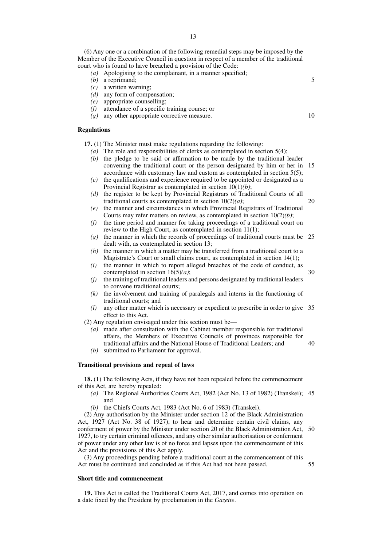(6) Any one or a combination of the following remedial steps may be imposed by the Member of the Executive Council in question in respect of a member of the traditional court who is found to have breached a provision of the Code:

- *(a)* Apologising to the complainant, in a manner specified;
- *(b)* a reprimand;
- *(c)* a written warning;
- *(d)* any form of compensation;
- *(e)* appropriate counselling;
- *(f)* attendance of a specific training course; or
- *(g)* any other appropriate corrective measure.

#### **Regulations**

**17.** (1) The Minister must make regulations regarding the following:

- *(a)* The role and responsibilities of clerks as contemplated in section 5(4);
- *(b)* the pledge to be said or affirmation to be made by the traditional leader convening the traditional court or the person designated by him or her in 15 accordance with customary law and custom as contemplated in section 5(5);
- *(c)* the qualifications and experience required to be appointed or designated as a Provincial Registrar as contemplated in section 10(1)*(b)*;
- *(d)* the register to be kept by Provincial Registrars of Traditional Courts of all traditional courts as contemplated in section 10(2)*(a)*; 20
- *(e)* the manner and circumstances in which Provincial Registrars of Traditional Courts may refer matters on review, as contemplated in section 10(2)*(b)*;
- *(f)* the time period and manner for taking proceedings of a traditional court on review to the High Court, as contemplated in section 11(1);
- *(g)* the manner in which the records of proceedings of traditional courts must be 25 dealt with, as contemplated in section 13;
- *(h)* the manner in which a matter may be transferred from a traditional court to a Magistrate's Court or small claims court, as contemplated in section 14(1);
- *(i)* the manner in which to report alleged breaches of the code of conduct, as contemplated in section 16(5)*(a)*; 30
- *(j)* the training of traditional leaders and persons designated by traditional leaders to convene traditional courts;
- *(k)* the involvement and training of paralegals and interns in the functioning of traditional courts; and
- *(l)* any other matter which is necessary or expedient to prescribe in order to give 35 effect to this Act.
- (2) Any regulation envisaged under this section must be—
	- *(a)* made after consultation with the Cabinet member responsible for traditional affairs, the Members of Executive Councils of provinces responsible for traditional affairs and the National House of Traditional Leaders; and 40
	- *(b)* submitted to Parliament for approval.

#### **Transitional provisions and repeal of laws**

**18.** (1) The following Acts, if they have not been repealed before the commencement of this Act, are hereby repealed:

- *(a)* The Regional Authorities Courts Act, 1982 (Act No. 13 of 1982) (Transkei); 45 and
- *(b)* the Chiefs Courts Act, 1983 (Act No. 6 of 1983) (Transkei).

(2) Any authorisation by the Minister under section 12 of the Black Administration Act, 1927 (Act No. 38 of 1927), to hear and determine certain civil claims, any conferment of power by the Minister under section 20 of the Black Administration Act, 50 1927, to try certain criminal offences, and any other similar authorisation or conferment of power under any other law is of no force and lapses upon the commencement of this Act and the provisions of this Act apply.

(3) Any proceedings pending before a traditional court at the commencement of this Act must be continued and concluded as if this Act had not been passed. 55

## **Short title and commencement**

**19.** This Act is called the Traditional Courts Act, 2017, and comes into operation on a date fixed by the President by proclamation in the *Gazette*.

10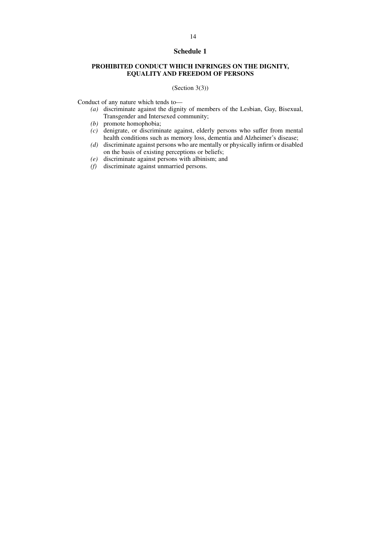# **Schedule 1**

# **PROHIBITED CONDUCT WHICH INFRINGES ON THE DIGNITY, EQUALITY AND FREEDOM OF PERSONS**

# (Section 3(3))

Conduct of any nature which tends to—

- *(a)* discriminate against the dignity of members of the Lesbian, Gay, Bisexual, Transgender and Intersexed community;
- *(b)* promote homophobia;
- *(c)* denigrate, or discriminate against, elderly persons who suffer from mental health conditions such as memory loss, dementia and Alzheimer's disease;
- *(d)* discriminate against persons who are mentally or physically infirm or disabled on the basis of existing perceptions or beliefs;
- *(e)* discriminate against persons with albinism; and
- *(f)* discriminate against unmarried persons.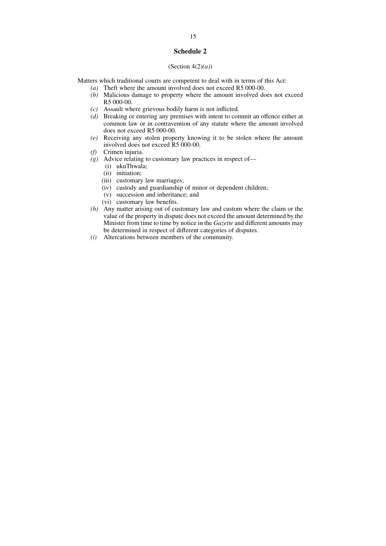# **Schedule 2**

#### (Section 4(2)*(a)*)

Matters which traditional courts are competent to deal with in terms of this Act:

- *(a)* Theft where the amount involved does not exceed R5 000-00.
- *(b)* Malicious damage to property where the amount involved does not exceed R5 000-00.
- *(c)* Assault where grievous bodily harm is not inflicted.
- *(d)* Breaking or entering any premises with intent to commit an offence either at common law or in contravention of any statute where the amount involved does not exceed R5 000-00.
- *(e)* Receiving any stolen property knowing it to be stolen where the amount involved does not exceed R5 000-00.
- *(f)* Crimen injuria.
- *(g)* Advice relating to customary law practices in respect of—
	- (i) ukuThwala;
	- (ii) initiation;
	- (iii) customary law marriages;
	- (iv) custody and guardianship of minor or dependent children;
	- (v) succession and inheritance; and
	- (vi) customary law benefits.
- *(h)* Any matter arising out of customary law and custom where the claim or the value of the property in dispute does not exceed the amount determined by the Minister from time to time by notice in the *Gazette* and different amounts may be determined in respect of different categories of disputes.
- *(i)* Altercations between members of the community.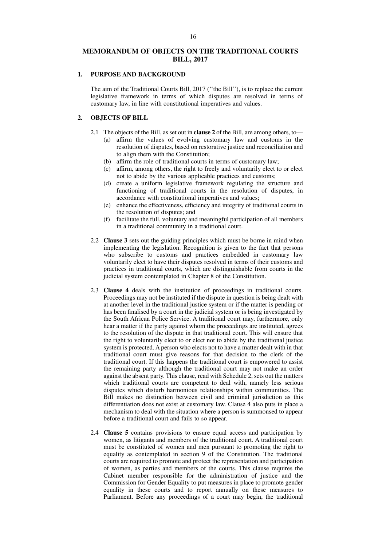# **MEMORANDUM OF OBJECTS ON THE TRADITIONAL COURTS BILL, 2017**

## **1. PURPOSE AND BACKGROUND**

The aim of the Traditional Courts Bill, 2017 (''the Bill''), is to replace the current legislative framework in terms of which disputes are resolved in terms of customary law, in line with constitutional imperatives and values.

## **2. OBJECTS OF BILL**

- 2.1 The objects of the Bill, as set out in **clause 2** of the Bill, are among others, to—
	- (a) affirm the values of evolving customary law and customs in the resolution of disputes, based on restorative justice and reconciliation and to align them with the Constitution;
	- (b) affirm the role of traditional courts in terms of customary law;
	- (c) affirm, among others, the right to freely and voluntarily elect to or elect not to abide by the various applicable practices and customs;
	- (d) create a uniform legislative framework regulating the structure and functioning of traditional courts in the resolution of disputes, in accordance with constitutional imperatives and values;
	- (e) enhance the effectiveness, efficiency and integrity of traditional courts in the resolution of disputes; and
	- (f) facilitate the full, voluntary and meaningful participation of all members in a traditional community in a traditional court.
- 2.2 **Clause 3** sets out the guiding principles which must be borne in mind when implementing the legislation. Recognition is given to the fact that persons who subscribe to customs and practices embedded in customary law voluntarily elect to have their disputes resolved in terms of their customs and practices in traditional courts, which are distinguishable from courts in the judicial system contemplated in Chapter 8 of the Constitution.
- 2.3 **Clause 4** deals with the institution of proceedings in traditional courts. Proceedings may not be instituted if the dispute in question is being dealt with at another level in the traditional justice system or if the matter is pending or has been finalised by a court in the judicial system or is being investigated by the South African Police Service. A traditional court may, furthermore, only hear a matter if the party against whom the proceedings are instituted, agrees to the resolution of the dispute in that traditional court. This will ensure that the right to voluntarily elect to or elect not to abide by the traditional justice system is protected. A person who elects not to have a matter dealt with in that traditional court must give reasons for that decision to the clerk of the traditional court. If this happens the traditional court is empowered to assist the remaining party although the traditional court may not make an order against the absent party. This clause, read with Schedule 2, sets out the matters which traditional courts are competent to deal with, namely less serious disputes which disturb harmonious relationships within communities. The Bill makes no distinction between civil and criminal jurisdiction as this differentiation does not exist at customary law. Clause 4 also puts in place a mechanism to deal with the situation where a person is summonsed to appear before a traditional court and fails to so appear.
- 2.4 **Clause 5** contains provisions to ensure equal access and participation by women, as litigants and members of the traditional court. A traditional court must be constituted of women and men pursuant to promoting the right to equality as contemplated in section 9 of the Constitution. The traditional courts are required to promote and protect the representation and participation of women, as parties and members of the courts. This clause requires the Cabinet member responsible for the administration of justice and the Commission for Gender Equality to put measures in place to promote gender equality in these courts and to report annually on these measures to Parliament. Before any proceedings of a court may begin, the traditional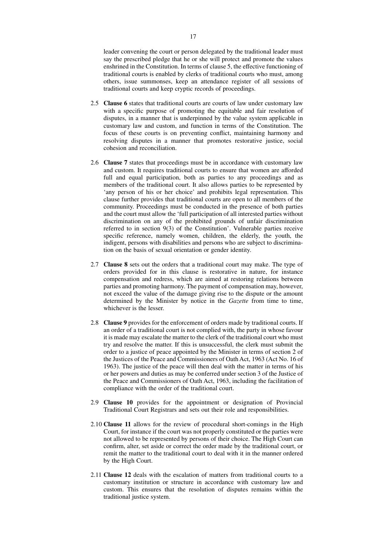leader convening the court or person delegated by the traditional leader must say the prescribed pledge that he or she will protect and promote the values enshrined in the Constitution. In terms of clause 5, the effective functioning of traditional courts is enabled by clerks of traditional courts who must, among others, issue summonses, keep an attendance register of all sessions of traditional courts and keep cryptic records of proceedings.

- 2.5 **Clause 6** states that traditional courts are courts of law under customary law with a specific purpose of promoting the equitable and fair resolution of disputes, in a manner that is underpinned by the value system applicable in customary law and custom, and function in terms of the Constitution. The focus of these courts is on preventing conflict, maintaining harmony and resolving disputes in a manner that promotes restorative justice, social cohesion and reconciliation.
- 2.6 **Clause 7** states that proceedings must be in accordance with customary law and custom. It requires traditional courts to ensure that women are afforded full and equal participation, both as parties to any proceedings and as members of the traditional court. It also allows parties to be represented by 'any person of his or her choice' and prohibits legal representation. This clause further provides that traditional courts are open to all members of the community. Proceedings must be conducted in the presence of both parties and the court must allow the 'full participation of all interested parties without discrimination on any of the prohibited grounds of unfair discrimination referred to in section 9(3) of the Constitution'. Vulnerable parties receive specific reference, namely women, children, the elderly, the youth, the indigent, persons with disabilities and persons who are subject to discrimination on the basis of sexual orientation or gender identity.
- 2.7 **Clause 8** sets out the orders that a traditional court may make. The type of orders provided for in this clause is restorative in nature, for instance compensation and redress, which are aimed at restoring relations between parties and promoting harmony. The payment of compensation may, however, not exceed the value of the damage giving rise to the dispute or the amount determined by the Minister by notice in the *Gazette* from time to time, whichever is the lesser.
- 2.8 **Clause 9** provides for the enforcement of orders made by traditional courts. If an order of a traditional court is not complied with, the party in whose favour it is made may escalate the matter to the clerk of the traditional court who must try and resolve the matter. If this is unsuccessful, the clerk must submit the order to a justice of peace appointed by the Minister in terms of section 2 of the Justices of the Peace and Commissioners of Oath Act, 1963 (Act No. 16 of 1963). The justice of the peace will then deal with the matter in terms of his or her powers and duties as may be conferred under section 3 of the Justice of the Peace and Commissioners of Oath Act, 1963, including the facilitation of compliance with the order of the traditional court.
- 2.9 **Clause 10** provides for the appointment or designation of Provincial Traditional Court Registrars and sets out their role and responsibilities.
- 2.10 **Clause 11** allows for the review of procedural short-comings in the High Court, for instance if the court was not properly constituted or the parties were not allowed to be represented by persons of their choice. The High Court can confirm, alter, set aside or correct the order made by the traditional court, or remit the matter to the traditional court to deal with it in the manner ordered by the High Court.
- 2.11 **Clause 12** deals with the escalation of matters from traditional courts to a customary institution or structure in accordance with customary law and custom. This ensures that the resolution of disputes remains within the traditional justice system.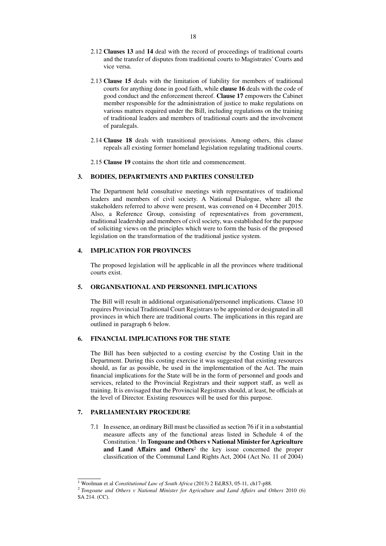- 2.12 **Clauses 13** and **14** deal with the record of proceedings of traditional courts and the transfer of disputes from traditional courts to Magistrates' Courts and vice versa.
- 2.13 **Clause 15** deals with the limitation of liability for members of traditional courts for anything done in good faith, while **clause 16** deals with the code of good conduct and the enforcement thereof. **Clause 17** empowers the Cabinet member responsible for the administration of justice to make regulations on various matters required under the Bill, including regulations on the training of traditional leaders and members of traditional courts and the involvement of paralegals.
- 2.14 **Clause 18** deals with transitional provisions. Among others, this clause repeals all existing former homeland legislation regulating traditional courts.
- 2.15 **Clause 19** contains the short title and commencement.

# **3. BODIES, DEPARTMENTS AND PARTIES CONSULTED**

The Department held consultative meetings with representatives of traditional leaders and members of civil society. A National Dialogue, where all the stakeholders referred to above were present, was convened on 4 December 2015. Also, a Reference Group, consisting of representatives from government, traditional leadership and members of civil society, was established for the purpose of soliciting views on the principles which were to form the basis of the proposed legislation on the transformation of the traditional justice system.

### **4. IMPLICATION FOR PROVINCES**

The proposed legislation will be applicable in all the provinces where traditional courts exist.

# **5. ORGANISATIONAL AND PERSONNEL IMPLICATIONS**

The Bill will result in additional organisational/personnel implications. Clause 10 requires Provincial Traditional Court Registrars to be appointed or designated in all provinces in which there are traditional courts. The implications in this regard are outlined in paragraph 6 below.

# **6. FINANCIAL IMPLICATIONS FOR THE STATE**

The Bill has been subjected to a costing exercise by the Costing Unit in the Department. During this costing exercise it was suggested that existing resources should, as far as possible, be used in the implementation of the Act. The main financial implications for the State will be in the form of personnel and goods and services, related to the Provincial Registrars and their support staff, as well as training. It is envisaged that the Provincial Registrars should, at least, be officials at the level of Director. Existing resources will be used for this purpose.

# **7. PARLIAMENTARY PROCEDURE**

7.1 In essence, an ordinary Bill must be classified as section 76 if it in a substantial measure affects any of the functional areas listed in Schedule 4 of the Constitution.<sup>1</sup> In **Tongoane and Others v National Minister for Agriculture and Land Affairs and Others**<sup>2</sup> the key issue concerned the proper classification of the Communal Land Rights Act, 2004 (Act No. 11 of 2004)

<sup>1</sup> Woolman et al *Constitutional Law of South Africa* (2013) 2 Ed,RS3, 05-11, ch17-p88.

<sup>2</sup> *Tongoane and Others v National Minister for Agriculture and Land Affairs and Others* 2010 (6) SA 214. (CC).